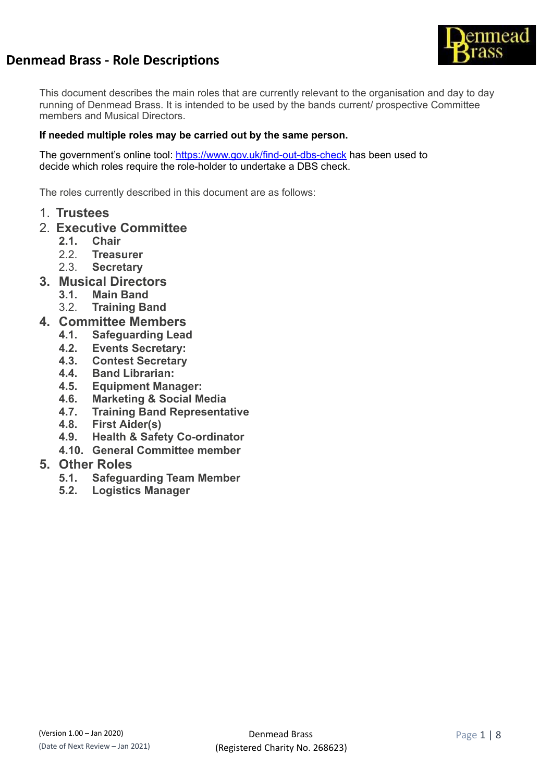

This document describes the main roles that are currently relevant to the organisation and day to day running of Denmead Brass. It is intended to be used by the bands current/ prospective Committee members and Musical Directors.

# **If needed multiple roles may be carried out by the same person.**

The government's online tool: <https://www.gov.uk/find-out-dbs-check> has been used to decide which roles require the role-holder to undertake a DBS check.

The roles currently described in this document are as follows:

- 1. **Trustees**
- 2. **Executive Committee**
	- **2.1. Chair**
	- 2.2. **Treasurer**
	- 2.3. **Secretary**
- **3. Musical Directors**
	- **3.1. Main Band**
	- 3.2. **Training Band**
- **4. Committee Members**
	- **4.1. Safeguarding Lead**
	- **4.2. Events Secretary:**
	- **4.3. Contest Secretary**
	- **4.4. Band Librarian:**
	- **4.5. Equipment Manager:**
	- **4.6. Marketing & Social Media**
	- **4.7. Training Band Representative**
	- **4.8. First Aider(s)**
	- **4.9. Health & Safety Co-ordinator**
	- **4.10. General Committee member**

# **5. Other Roles**

- **5.1. Safeguarding Team Member**
- **5.2. Logistics Manager**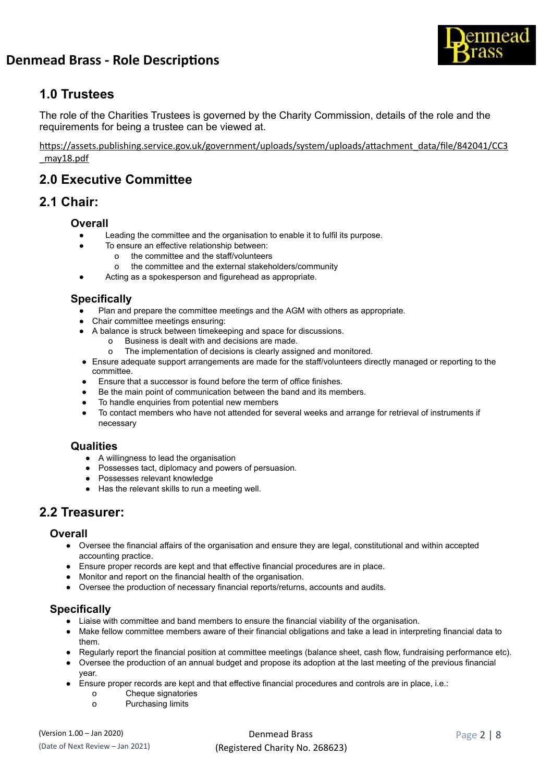



# **1.0 Trustees**

The role of the Charities Trustees is governed by the Charity Commission, details of the role and the requirements for being a trustee can be viewed at.

https://assets.publishing.service.gov.uk/government/uploads/system/uploads/attachment\_data/file/842041/CC3 [\\_may18.pdf](https://assets.publishing.service.gov.uk/government/uploads/system/uploads/attachment_data/file/842041/CC3_may18.pdf) 

# **2.0 Executive Committee**

# **2.1 Chair:**

# **Overall**

- Leading the committee and the organisation to enable it to fulfil its purpose.
	- To ensure an effective relationship between:
		- o the committee and the staff/volunteers
		- o the committee and the external stakeholders/community
- Acting as a spokesperson and figurehead as appropriate.

# **Specifically**

- Plan and prepare the committee meetings and the AGM with others as appropriate.
- Chair committee meetings ensuring:
- A balance is struck between timekeeping and space for discussions.
	- o Business is dealt with and decisions are made.
	- o The implementation of decisions is clearly assigned and monitored.
- Ensure adequate support arrangements are made for the staff/volunteers directly managed or reporting to the committee.
- Ensure that a successor is found before the term of office finishes.
- Be the main point of communication between the band and its members.
- To handle enquiries from potential new members
- To contact members who have not attended for several weeks and arrange for retrieval of instruments if necessary

# **Qualities**

- A willingness to lead the organisation
- Possesses tact, diplomacy and powers of persuasion.
- Possesses relevant knowledge
- Has the relevant skills to run a meeting well.

# **2.2 Treasurer:**

## **Overall**

- Oversee the financial affairs of the organisation and ensure they are legal, constitutional and within accepted accounting practice.
- Ensure proper records are kept and that effective financial procedures are in place.
- Monitor and report on the financial health of the organisation.
- Oversee the production of necessary financial reports/returns, accounts and audits.

# **Specifically**

- Liaise with committee and band members to ensure the financial viability of the organisation.
- Make fellow committee members aware of their financial obligations and take a lead in interpreting financial data to them.
- Regularly report the financial position at committee meetings (balance sheet, cash flow, fundraising performance etc).
- Oversee the production of an annual budget and propose its adoption at the last meeting of the previous financial year.
- Ensure proper records are kept and that effective financial procedures and controls are in place, i.e.:
	- o Cheque signatories
	- o Purchasing limits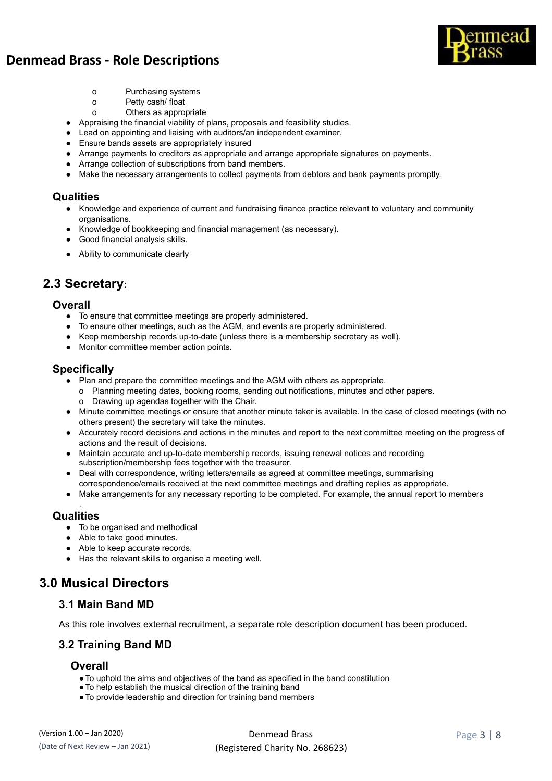



- o Purchasing systems
- o Petty cash/ float
- o Others as appropriate
- Appraising the financial viability of plans, proposals and feasibility studies.
- Lead on appointing and liaising with auditors/an independent examiner.
- Ensure bands assets are appropriately insured
- Arrange payments to creditors as appropriate and arrange appropriate signatures on payments.
- Arrange collection of subscriptions from band members.
- Make the necessary arrangements to collect payments from debtors and bank payments promptly.

#### **Qualities**

- Knowledge and experience of current and fundraising finance practice relevant to voluntary and community organisations.
- Knowledge of bookkeeping and financial management (as necessary).
- Good financial analysis skills.
- Ability to communicate clearly

# **2.3 Secretary:**

#### **Overall**

- To ensure that committee meetings are properly administered.
- To ensure other meetings, such as the AGM, and events are properly administered.
- Keep membership records up-to-date (unless there is a membership secretary as well).
- Monitor committee member action points.

## **Specifically**

- Plan and prepare the committee meetings and the AGM with others as appropriate.
	- o Planning meeting dates, booking rooms, sending out notifications, minutes and other papers.
	- o Drawing up agendas together with the Chair.
- Minute committee meetings or ensure that another minute taker is available. In the case of closed meetings (with no others present) the secretary will take the minutes.
- Accurately record decisions and actions in the minutes and report to the next committee meeting on the progress of actions and the result of decisions.
- Maintain accurate and up-to-date membership records, issuing renewal notices and recording subscription/membership fees together with the treasurer.
- Deal with correspondence, writing letters/emails as agreed at committee meetings, summarising correspondence/emails received at the next committee meetings and drafting replies as appropriate.
- Make arrangements for any necessary reporting to be completed. For example, the annual report to members

#### . **Qualities**

- To be organised and methodical
- Able to take good minutes.
- Able to keep accurate records.
- Has the relevant skills to organise a meeting well.

# **3.0 Musical Directors**

## **3.1 Main Band MD**

As this role involves external recruitment, a separate role description document has been produced.

# **3.2 Training Band MD**

## **Overall**

- ●To uphold the aims and objectives of the band as specified in the band constitution
- ●To help establish the musical direction of the training band
- ●To provide leadership and direction for training band members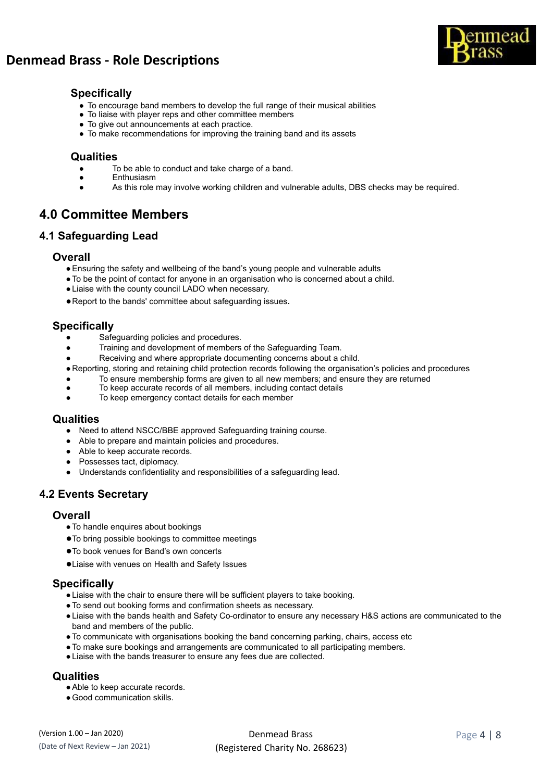



# **Specifically**

- To encourage band members to develop the full range of their musical abilities
- To liaise with player reps and other committee members
- To give out announcements at each practice.
- To make recommendations for improving the training band and its assets

### **Qualities**

- To be able to conduct and take charge of a band.
- Enthusiasm
- As this role may involve working children and vulnerable adults, DBS checks may be required.

# **4.0 Committee Members**

# **4.1 Safeguarding Lead**

#### **Overall**

- ●Ensuring the safety and wellbeing of the band's young people and vulnerable adults
- ●To be the point of contact for anyone in an organisation who is concerned about a child.
- ●Liaise with the county council LADO when necessary.
- ●Report to the bands' committee about safeguarding issues .

#### **Specifically**

- Safeguarding policies and procedures.
- Training and development of members of the Safeguarding Team.
- Receiving and where appropriate documenting concerns about a child.
- Reporting, storing and retaining child protection records following the organisation's policies and procedures
- To ensure membership forms are given to all new members; and ensure they are returned
- To keep accurate records of all members, including contact details
- To keep emergency contact details for each member

#### **Qualities**

- Need to attend NSCC/BBE approved Safeguarding training course.
- Able to prepare and maintain policies and procedures.
- Able to keep accurate records.
- Possesses tact, diplomacy.
- Understands confidentiality and responsibilities of a safeguarding lead.

# **4.2 Events Secretary**

#### **Overall**

- ●To handle enquires about bookings
- ●To bring possible bookings to committee meetings
- ●To book venues for Band's own concerts
- ●Liaise with venues on Health and Safety Issues

#### **Specifically**

- ●Liaise with the chair to ensure there will be sufficient players to take booking.
- ●To send out booking forms and confirmation sheets as necessary.
- ●Liaise with the bands health and Safety Co-ordinator to ensure any necessary H&S actions are communicated to the band and members of the public.
- ●To communicate with organisations booking the band concerning parking, chairs, access etc
- ●To make sure bookings and arrangements are communicated to all participating members.
- ●Liaise with the bands treasurer to ensure any fees due are collected.

## **Qualities**

- Able to keep accurate records.
- Good communication skills.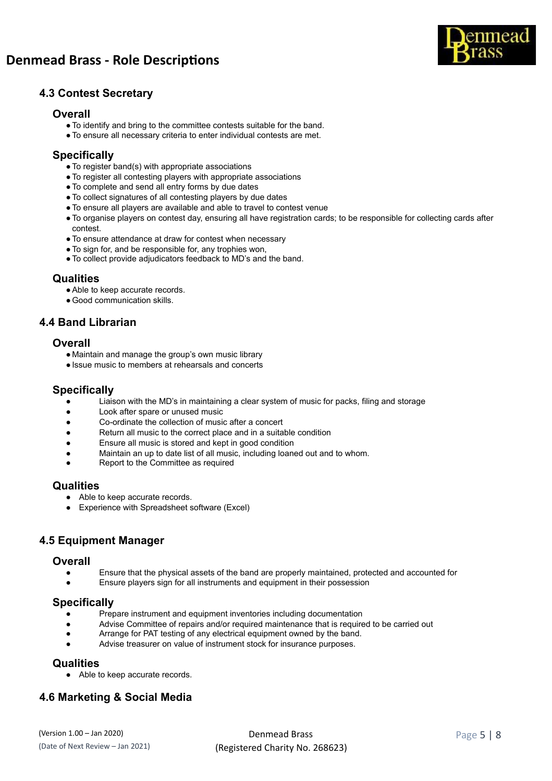

# **4.3 Contest Secretary**

#### **Overall**

- **●**To identify and bring to the committee contests suitable for the band.
- **●**To ensure all necessary criteria to enter individual contests are met.

# **Specifically**

- **●**To register band(s) with appropriate associations
- **●**To register all contesting players with appropriate associations
- **●**To complete and send all entry forms by due dates
- **●**To collect signatures of all contesting players by due dates
- **●**To ensure all players are available and able to travel to contest venue
- **●**To organise players on contest day, ensuring all have registration cards; to be responsible for collecting cards after contest.
- **●**To ensure attendance at draw for contest when necessary
- **●**To sign for, and be responsible for, any trophies won,
- **●**To collect provide adjudicators feedback to MD's and the band.

#### **Qualities**

- ●Able to keep accurate records.
- ●Good communication skills.

## **4.4 Band Librarian**

#### **Overall**

- Maintain and manage the group's own music library
- ●Issue music to members at rehearsals and concerts

#### **Specifically**

- Liaison with the MD's in maintaining a clear system of music for packs, filing and storage
- Look after spare or unused music
- Co-ordinate the collection of music after a concert
- Return all music to the correct place and in a suitable condition
- Ensure all music is stored and kept in good condition
- Maintain an up to date list of all music, including loaned out and to whom.
- Report to the Committee as required

#### **Qualities**

- Able to keep accurate records.
- Experience with Spreadsheet software (Excel)

## **4.5 Equipment Manager**

#### **Overall**

- Ensure that the physical assets of the band are properly maintained, protected and accounted for
- Ensure players sign for all instruments and equipment in their possession

#### **Specifically**

- Prepare instrument and equipment inventories including documentation
- Advise Committee of repairs and/or required maintenance that is required to be carried out
- Arrange for PAT testing of any electrical equipment owned by the band.
- Advise treasurer on value of instrument stock for insurance purposes.

#### **Qualities**

● Able to keep accurate records.

# **4.6 Marketing & Social Media**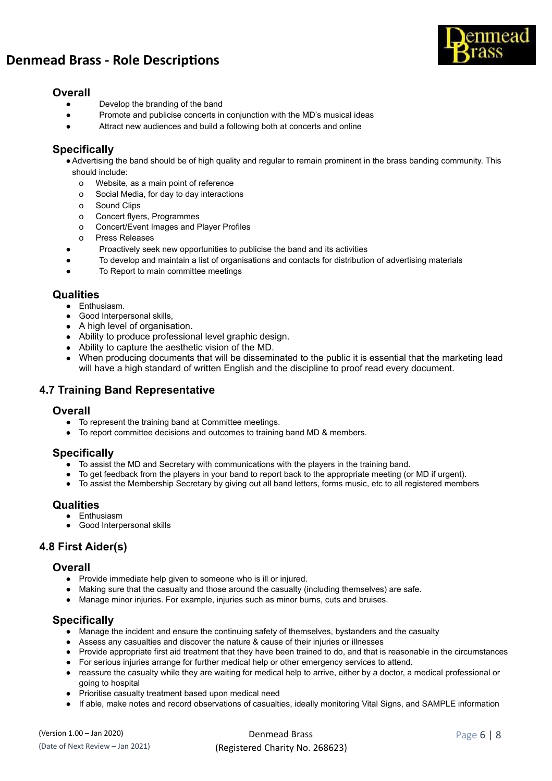

## **Overall**

- Develop the branding of the band
- Promote and publicise concerts in conjunction with the MD's musical ideas
- Attract new audiences and build a following both at concerts and online

# **Specifically**

●Advertising the band should be of high quality and regular to remain prominent in the brass banding community. This should include:

- o Website, as a main point of reference
- o Social Media, for day to day interactions
- o Sound Clips
- o Concert flyers, Programmes
- o Concert/Event Images and Player Profiles
- o Press Releases
- Proactively seek new opportunities to publicise the band and its activities
- To develop and maintain a list of organisations and contacts for distribution of advertising materials
- To Report to main committee meetings

#### **Qualities**

- Enthusiasm.
- Good Interpersonal skills,
- A high level of organisation.
- Ability to produce professional level graphic design.
- Ability to capture the aesthetic vision of the MD.
- When producing documents that will be disseminated to the public it is essential that the marketing lead will have a high standard of written English and the discipline to proof read every document.

# **4.7 Training Band Representative**

#### **Overall**

- To represent the training band at Committee meetings.
- To report committee decisions and outcomes to training band MD & members.

## **Specifically**

- To assist the MD and Secretary with communications with the players in the training band.
- To get feedback from the players in your band to report back to the appropriate meeting (or MD if urgent).
- To assist the Membership Secretary by giving out all band letters, forms music, etc to all registered members

#### **Qualities**

- Enthusiasm
- Good Interpersonal skills

# **4.8 First Aider(s)**

#### **Overall**

- Provide immediate help given to someone who is ill or injured.
- Making sure that the casualty and those around the casualty (including themselves) are safe.
- Manage minor injuries. For example, injuries such as minor burns, cuts and bruises.

#### **Specifically**

- Manage the incident and ensure the continuing safety of themselves, bystanders and the casualty
- Assess any casualties and discover the nature & cause of their injuries or illnesses
- Provide appropriate first aid treatment that they have been trained to do, and that is reasonable in the circumstances
- For serious injuries arrange for further medical help or other emergency services to attend.
- reassure the casualty while they are waiting for medical help to arrive, either by a doctor, a medical professional or going to hospital
- Prioritise casualty treatment based upon medical need
- If able, make notes and record observations of casualties, ideally monitoring Vital Signs, and SAMPLE information

| (Version 1.00 – Jan 2020)        | Denmead Brass                   | Page $6 \mid 8$ |
|----------------------------------|---------------------------------|-----------------|
| (Date of Next Review - Jan 2021) | (Registered Charity No. 268623) |                 |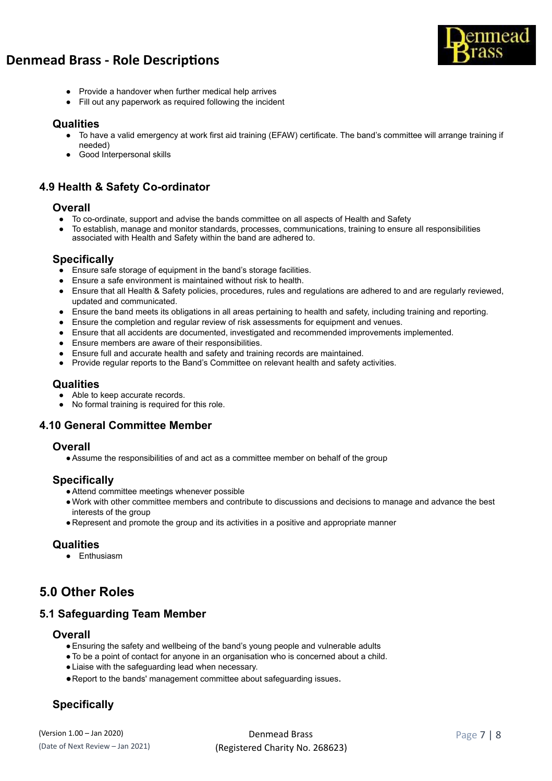

- Provide a handover when further medical help arrives
- Fill out any paperwork as required following the incident

#### **Qualities**

- To have a valid emergency at work first aid training (EFAW) certificate. The band's committee will arrange training if needed)
- Good Interpersonal skills

# **4.9 Health & Safety Co-ordinator**

#### **Overall**

- To co-ordinate, support and advise the bands committee on all aspects of Health and Safety
- To establish, manage and monitor standards, processes, communications, training to ensure all responsibilities associated with Health and Safety within the band are adhered to.

#### **Specifically**

- Ensure safe storage of equipment in the band's storage facilities.
- Ensure a safe environment is maintained without risk to health.
- Ensure that all Health & Safety policies, procedures, rules and regulations are adhered to and are regularly reviewed, updated and communicated.
- Ensure the band meets its obligations in all areas pertaining to health and safety, including training and reporting.
- Ensure the completion and regular review of risk assessments for equipment and venues.
- Ensure that all accidents are documented, investigated and recommended improvements implemented.
- Ensure members are aware of their responsibilities.
- Ensure full and accurate health and safety and training records are maintained.
- Provide regular reports to the Band's Committee on relevant health and safety activities.

## **Qualities**

- Able to keep accurate records.
- No formal training is required for this role.

## **4.10 General Committee Member**

#### **Overall**

●Assume the responsibilities of and act as a committee member on behalf of the group

# **Specifically**

- ●Attend committee meetings whenever possible
- ●Work with other committee members and contribute to discussions and decisions to manage and advance the best interests of the group
- Represent and promote the group and its activities in a positive and appropriate manner

## **Qualities**

● Enthusiasm

# **5.0 Other Roles**

# **5.1 Safeguarding Team Member**

#### **Overall**

- ●Ensuring the safety and wellbeing of the band's young people and vulnerable adults
- ●To be a point of contact for anyone in an organisation who is concerned about a child.
- Liaise with the safeguarding lead when necessary.
- ●Report to the bands' management committee about safeguarding issues .

# **Specifically**